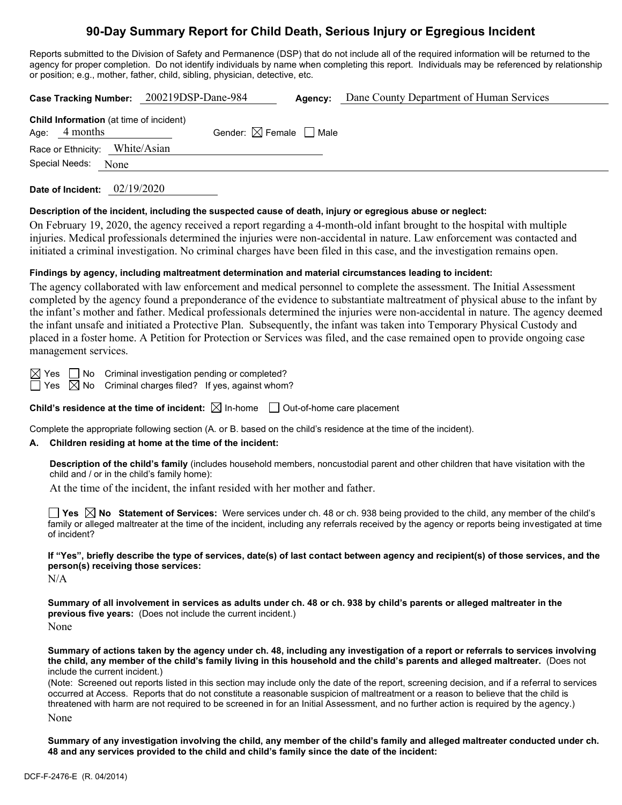# **90-Day Summary Report for Child Death, Serious Injury or Egregious Incident**

Reports submitted to the Division of Safety and Permanence (DSP) that do not include all of the required information will be returned to the agency for proper completion. Do not identify individuals by name when completing this report. Individuals may be referenced by relationship or position; e.g., mother, father, child, sibling, physician, detective, etc.

|                                                                   | Case Tracking Number: 200219DSP-Dane-984 | Agency: | Dane County Department of Human Services |
|-------------------------------------------------------------------|------------------------------------------|---------|------------------------------------------|
| <b>Child Information</b> (at time of incident)<br>Age: $4$ months | Gender: $\boxtimes$ Female $\Box$ Male   |         |                                          |
| Race or Ethnicity: White/Asian                                    |                                          |         |                                          |
| Special Needs:<br>None                                            |                                          |         |                                          |
|                                                                   |                                          |         |                                          |

**Date of Incident:** 02/19/2020

## **Description of the incident, including the suspected cause of death, injury or egregious abuse or neglect:**

On February 19, 2020, the agency received a report regarding a 4-month-old infant brought to the hospital with multiple injuries. Medical professionals determined the injuries were non-accidental in nature. Law enforcement was contacted and initiated a criminal investigation. No criminal charges have been filed in this case, and the investigation remains open.

## **Findings by agency, including maltreatment determination and material circumstances leading to incident:**

The agency collaborated with law enforcement and medical personnel to complete the assessment. The Initial Assessment completed by the agency found a preponderance of the evidence to substantiate maltreatment of physical abuse to the infant by the infant's mother and father. Medical professionals determined the injuries were non-accidental in nature. The agency deemed the infant unsafe and initiated a Protective Plan. Subsequently, the infant was taken into Temporary Physical Custody and placed in a foster home. A Petition for Protection or Services was filed, and the case remained open to provide ongoing case management services.

 $\boxtimes$  Yes  $\Box$  No Criminal investigation pending or completed?

 $\Box$  Yes  $\oslash$  No  $\,$  Criminal charges filed? If yes, against whom?

**Child's residence at the time of incident:**  $\boxtimes$  In-home  $\Box$  Out-of-home care placement

Complete the appropriate following section (A. or B. based on the child's residence at the time of the incident).

## **A. Children residing at home at the time of the incident:**

**Description of the child's family** (includes household members, noncustodial parent and other children that have visitation with the child and / or in the child's family home):

At the time of the incident, the infant resided with her mother and father.

**Yes No Statement of Services:** Were services under ch. 48 or ch. 938 being provided to the child, any member of the child's family or alleged maltreater at the time of the incident, including any referrals received by the agency or reports being investigated at time of incident?

**If "Yes", briefly describe the type of services, date(s) of last contact between agency and recipient(s) of those services, and the person(s) receiving those services:**

 $N/A$ 

**Summary of all involvement in services as adults under ch. 48 or ch. 938 by child's parents or alleged maltreater in the previous five years:** (Does not include the current incident.) None

**Summary of actions taken by the agency under ch. 48, including any investigation of a report or referrals to services involving the child, any member of the child's family living in this household and the child's parents and alleged maltreater.** (Does not include the current incident.)

(Note: Screened out reports listed in this section may include only the date of the report, screening decision, and if a referral to services occurred at Access. Reports that do not constitute a reasonable suspicion of maltreatment or a reason to believe that the child is threatened with harm are not required to be screened in for an Initial Assessment, and no further action is required by the agency.) None

**Summary of any investigation involving the child, any member of the child's family and alleged maltreater conducted under ch. 48 and any services provided to the child and child's family since the date of the incident:**